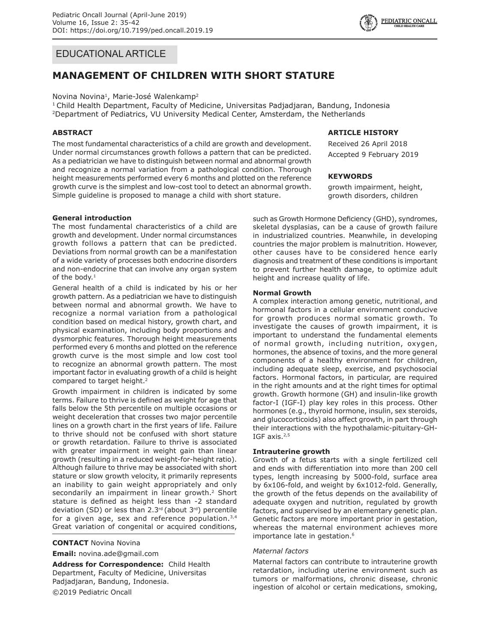## EDUCATIONAL ARTICLE

# **MANAGEMENT OF CHILDREN WITH SHORT STATURE**

#### Novina Novina<sup>1</sup>, Marie-José Walenkamp<sup>2</sup>

1 Child Health Department, Faculty of Medicine, Universitas Padjadjaran, Bandung, Indonesia 2Department of Pediatrics, VU University Medical Center, Amsterdam, the Netherlands

## **ABSTRACT**

The most fundamental characteristics of a child are growth and development. Under normal circumstances growth follows a pattern that can be predicted. As a pediatrician we have to distinguish between normal and abnormal growth and recognize a normal variation from a pathological condition. Thorough height measurements performed every 6 months and plotted on the reference growth curve is the simplest and low-cost tool to detect an abnormal growth. Simple guideline is proposed to manage a child with short stature.

## **General introduction**

The most fundamental characteristics of a child are growth and development. Under normal circumstances growth follows a pattern that can be predicted. Deviations from normal growth can be a manifestation of a wide variety of processes both endocrine disorders and non-endocrine that can involve any organ system of the body. $1$ 

General health of a child is indicated by his or her growth pattern. As a pediatrician we have to distinguish between normal and abnormal growth. We have to recognize a normal variation from a pathological condition based on medical history, growth chart, and physical examination, including body proportions and dysmorphic features. Thorough height measurements performed every 6 months and plotted on the reference growth curve is the most simple and low cost tool to recognize an abnormal growth pattern. The most important factor in evaluating growth of a child is height compared to target height.<sup>2</sup>

Growth impairment in children is indicated by some terms. Failure to thrive is defined as weight for age that falls below the 5th percentile on multiple occasions or weight deceleration that crosses two major percentile lines on a growth chart in the first years of life. Failure to thrive should not be confused with short stature or growth retardation. Failure to thrive is associated with greater impairment in weight gain than linear growth (resulting in a reduced weight-for-height ratio). Although failure to thrive may be associated with short stature or slow growth velocity, it primarily represents an inability to gain weight appropriately and only secondarily an impairment in linear growth.<sup>2</sup> Short stature is defined as height less than -2 standard deviation (SD) or less than 2.3 $rd$  (about 3 $rd$ ) percentile for a given age, sex and reference population. $3,4$ Great variation of congenital or acquired conditions,

#### **CONTACT** Novina Novina

**Email:** novina.ade@gmail.com

**Address for Correspondence:** Child Health Department, Faculty of Medicine, Universitas Padjadjaran, Bandung, Indonesia. ©2019 Pediatric Oncall

## **ARTICLE HISTORY**

Received 26 April 2018 Accepted 9 February 2019

#### **KEYWORDS**

growth impairment, height, growth disorders, children

such as Growth Hormone Deficiency (GHD), syndromes, skeletal dysplasias, can be a cause of growth failure in industrialized countries. Meanwhile, in developing countries the major problem is malnutrition. However, other causes have to be considered hence early diagnosis and treatment of these conditions is important to prevent further health damage, to optimize adult height and increase quality of life.

#### **Normal Growth**

A complex interaction among genetic, nutritional, and hormonal factors in a cellular environment conducive for growth produces normal somatic growth. To investigate the causes of growth impairment, it is important to understand the fundamental elements of normal growth, including nutrition, oxygen, hormones, the absence of toxins, and the more general components of a healthy environment for children, including adequate sleep, exercise, and psychosocial factors. Hormonal factors, in particular, are required in the right amounts and at the right times for optimal growth. Growth hormone (GH) and insulin-like growth factor-I (IGF-I) play key roles in this process. Other hormones (e.g., thyroid hormone, insulin, sex steroids, and glucocorticoids) also affect growth, in part through their interactions with the hypothalamic-pituitary-GH-IGF axis. $2,5$ 

#### **Intrauterine growth**

Growth of a fetus starts with a single fertilized cell and ends with differentiation into more than 200 cell types, length increasing by 5000-fold, surface area by 6x106-fold, and weight by 6x1012-fold. Generally, the growth of the fetus depends on the availability of adequate oxygen and nutrition, regulated by growth factors, and supervised by an elementary genetic plan. Genetic factors are more important prior in gestation, whereas the maternal environment achieves more importance late in gestation.<sup>6</sup>

#### *Maternal factors*

Maternal factors can contribute to intrauterine growth retardation, including uterine environment such as tumors or malformations, chronic disease, chronic ingestion of alcohol or certain medications, smoking,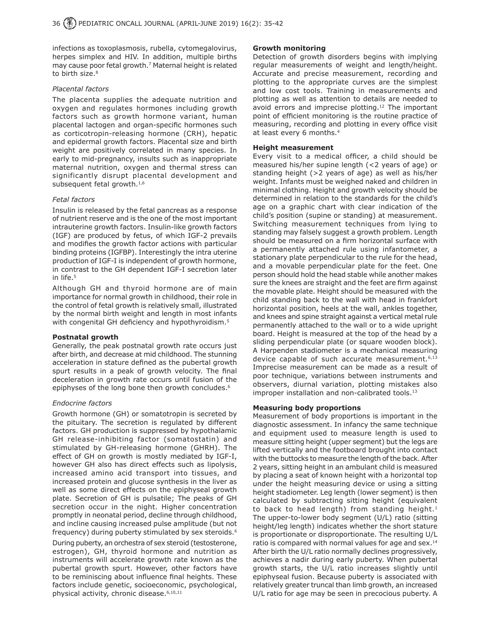infections as toxoplasmosis, rubella, cytomegalovirus, herpes simplex and HIV. In addition, multiple births may cause poor fetal growth.<sup>7</sup> Maternal height is related to birth size.<sup>8</sup>

#### *Placental factors*

The placenta supplies the adequate nutrition and oxygen and regulates hormones including growth factors such as growth hormone variant, human placental lactogen and organ-specific hormones such as corticotropin-releasing hormone (CRH), hepatic and epidermal growth factors. Placental size and birth weight are positively correlated in many species. In early to mid-pregnancy, insults such as inappropriate maternal nutrition, oxygen and thermal stress can significantly disrupt placental development and subsequent fetal growth. $1,6$ 

#### *Fetal factors*

Insulin is released by the fetal pancreas as a response of nutrient reserve and is the one of the most important intrauterine growth factors. Insulin-like growth factors (IGF) are produced by fetus, of which IGF-2 prevails and modifies the growth factor actions with particular binding proteins (IGFBP). Interestingly the intra uterine production of IGF-I is independent of growth hormone, in contrast to the GH dependent IGF-I secretion later in life.<sup>5</sup>

Although GH and thyroid hormone are of main importance for normal growth in childhood, their role in the control of fetal growth is relatively small, illustrated by the normal birth weight and length in most infants with congenital GH deficiency and hypothyroidism.<sup>5</sup>

## **Postnatal growth**

Generally, the peak postnatal growth rate occurs just after birth, and decrease at mid childhood. The stunning acceleration in stature defined as the pubertal growth spurt results in a peak of growth velocity. The final deceleration in growth rate occurs until fusion of the epiphyses of the long bone then growth concludes.<sup>6</sup>

## *Endocrine factors*

Growth hormone (GH) or somatotropin is secreted by the pituitary. The secretion is regulated by different factors. GH production is suppressed by hypothalamic GH release-inhibiting factor (somatostatin) and stimulated by GH-releasing hormone (GHRH). The effect of GH on growth is mostly mediated by IGF-I, however GH also has direct effects such as lipolysis, increased amino acid transport into tissues, and increased protein and glucose synthesis in the liver as well as some direct effects on the epiphyseal growth plate. Secretion of GH is pulsatile; The peaks of GH secretion occur in the night. Higher concentration promptly in neonatal period, decline through childhood, and incline causing increased pulse amplitude (but not frequency) during puberty stimulated by sex steroids.6

During puberty, an orchestra of sex steroid (testosterone, estrogen), GH, thyroid hormone and nutrition as instruments will accelerate growth rate known as the pubertal growth spurt. However, other factors have to be reminiscing about influence final heights. These factors include genetic, socioeconomic, psychological, physical activity, chronic disease.6,10,11

#### **Growth monitoring**

Detection of growth disorders begins with implying regular measurements of weight and length/height. Accurate and precise measurement, recording and plotting to the appropriate curves are the simplest and low cost tools. Training in measurements and plotting as well as attention to details are needed to avoid errors and imprecise plotting.<sup>12</sup> The important point of efficient monitoring is the routine practice of measuring, recording and plotting in every office visit at least every 6 months.<sup>4</sup>

#### **Height measurement**

Every visit to a medical officer, a child should be measured his/her supine length (<2 years of age) or standing height (>2 years of age) as well as his/her weight. Infants must be weighed naked and children in minimal clothing. Height and growth velocity should be determined in relation to the standards for the child's age on a graphic chart with clear indication of the child's position (supine or standing) at measurement. Switching measurement techniques from lying to standing may falsely suggest a growth problem. Length should be measured on a firm horizontal surface with a permanently attached rule using infantometer, a stationary plate perpendicular to the rule for the head, and a movable perpendicular plate for the feet. One person should hold the head stable while another makes sure the knees are straight and the feet are firm against the movable plate. Height should be measured with the child standing back to the wall with head in frankfort horizontal position, heels at the wall, ankles together, and knees and spine straight against a vertical metal rule permanently attached to the wall or to a wide upright board. Height is measured at the top of the head by a sliding perpendicular plate (or square wooden block). A Harpenden stadiometer is a mechanical measuring device capable of such accurate measurement.<sup>6,13</sup> Imprecise measurement can be made as a result of poor technique, variations between instruments and observers, diurnal variation, plotting mistakes also improper installation and non-calibrated tools.<sup>13</sup>

## **Measuring body proportions**

Measurement of body proportions is important in the diagnostic assessment. In infancy the same technique and equipment used to measure length is used to measure sitting height (upper segment) but the legs are lifted vertically and the footboard brought into contact with the buttocks to measure the length of the back. After 2 years, sitting height in an ambulant child is measured by placing a seat of known height with a horizontal top under the height measuring device or using a sitting height stadiometer. Leg length (lower segment) is then calculated by subtracting sitting height (equivalent to back to head length) from standing height. $1$ The upper-to-lower body segment (U/L) ratio (sitting height/leg length) indicates whether the short stature is proportionate or disproportionate. The resulting U/L ratio is compared with normal values for age and sex.<sup>14</sup> After birth the U/L ratio normally declines progressively, achieves a nadir during early puberty. When pubertal growth starts, the U/L ratio increases slightly until epiphyseal fusion. Because puberty is associated with relatively greater truncal than limb growth, an increased U/L ratio for age may be seen in precocious puberty. A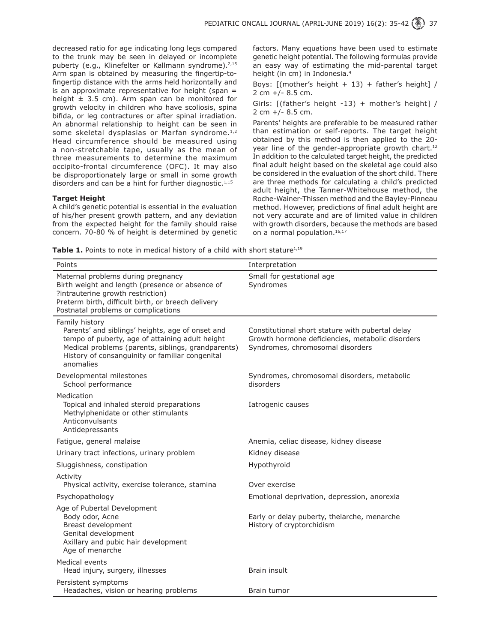decreased ratio for age indicating long legs compared to the trunk may be seen in delayed or incomplete puberty (e.g., Klinefelter or Kallmann syndrome).<sup>2,15</sup> Arm span is obtained by measuring the fingertip-tofingertip distance with the arms held horizontally and is an approximate representative for height (span  $=$ height  $\pm$  3.5 cm). Arm span can be monitored for growth velocity in children who have scoliosis, spina bifida, or leg contractures or after spinal irradiation. An abnormal relationship to height can be seen in some skeletal dysplasias or Marfan syndrome. $1,2$ Head circumference should be measured using a non-stretchable tape, usually as the mean of three measurements to determine the maximum occipito-frontal circumference (OFC). It may also be disproportionately large or small in some growth disorders and can be a hint for further diagnostic. $1,15$ 

#### **Target Height**

A child's genetic potential is essential in the evaluation of his/her present growth pattern, and any deviation from the expected height for the family should raise concern. 70-80 % of height is determined by genetic factors. Many equations have been used to estimate genetic height potential. The following formulas provide an easy way of estimating the mid-parental target height (in cm) in Indonesia.4

Boys:  $[(\text{mother's height } + 13) + \text{father's height}]/$ 2 cm +/- 8.5 cm.

Girls: [(father's height -13) + mother's height] / 2 cm +/- 8.5 cm.

Parents' heights are preferable to be measured rather than estimation or self-reports. The target height obtained by this method is then applied to the 20 year line of the gender-appropriate growth chart.<sup>12</sup> In addition to the calculated target height, the predicted final adult height based on the skeletal age could also be considered in the evaluation of the short child. There are three methods for calculating a child's predicted adult height, the Tanner-Whitehouse method, the Roche-Wainer-Thissen method and the Bayley-Pinneau method. However, predictions of final adult height are not very accurate and are of limited value in children with growth disorders, because the methods are based on a normal population.<sup>16,17</sup>

**Table 1.** Points to note in medical history of a child with short stature<sup>1,19</sup>

| Points                                                                                                                                                                                                                                      | Interpretation                                                                                                                           |
|---------------------------------------------------------------------------------------------------------------------------------------------------------------------------------------------------------------------------------------------|------------------------------------------------------------------------------------------------------------------------------------------|
| Maternal problems during pregnancy<br>Birth weight and length (presence or absence of<br>?intrauterine growth restriction)<br>Preterm birth, difficult birth, or breech delivery<br>Postnatal problems or complications                     | Small for gestational age<br>Syndromes                                                                                                   |
| Family history<br>Parents' and siblings' heights, age of onset and<br>tempo of puberty, age of attaining adult height<br>Medical problems (parents, siblings, grandparents)<br>History of consanguinity or familiar congenital<br>anomalies | Constitutional short stature with pubertal delay<br>Growth hormone deficiencies, metabolic disorders<br>Syndromes, chromosomal disorders |
| Developmental milestones<br>School performance                                                                                                                                                                                              | Syndromes, chromosomal disorders, metabolic<br>disorders                                                                                 |
| Medication<br>Topical and inhaled steroid preparations<br>Methylphenidate or other stimulants<br>Anticonvulsants<br>Antidepressants                                                                                                         | Iatrogenic causes                                                                                                                        |
| Fatigue, general malaise                                                                                                                                                                                                                    | Anemia, celiac disease, kidney disease                                                                                                   |
| Urinary tract infections, urinary problem                                                                                                                                                                                                   | Kidney disease                                                                                                                           |
| Sluggishness, constipation                                                                                                                                                                                                                  | Hypothyroid                                                                                                                              |
| Activity<br>Physical activity, exercise tolerance, stamina                                                                                                                                                                                  | Over exercise                                                                                                                            |
| Psychopathology                                                                                                                                                                                                                             | Emotional deprivation, depression, anorexia                                                                                              |
| Age of Pubertal Development<br>Body odor, Acne<br>Breast development<br>Genital development<br>Axillary and pubic hair development<br>Age of menarche                                                                                       | Early or delay puberty, thelarche, menarche<br>History of cryptorchidism                                                                 |
| Medical events<br>Head injury, surgery, illnesses                                                                                                                                                                                           | Brain insult                                                                                                                             |
| Persistent symptoms<br>Headaches, vision or hearing problems                                                                                                                                                                                | Brain tumor                                                                                                                              |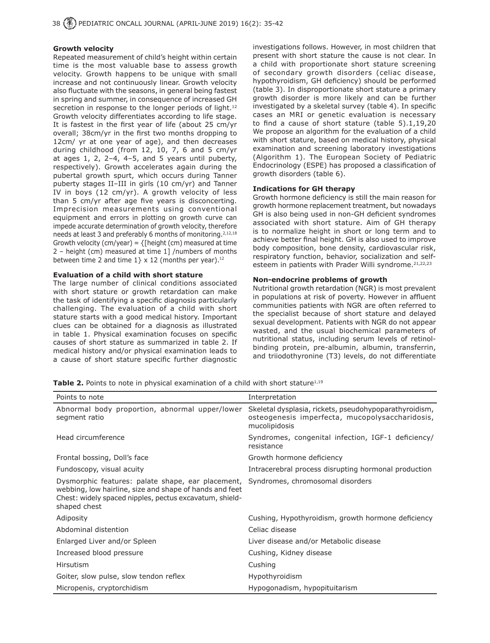#### **Growth velocity**

Repeated measurement of child's height within certain time is the most valuable base to assess growth velocity. Growth happens to be unique with small increase and not continuously linear. Growth velocity also fluctuate with the seasons, in general being fastest in spring and summer, in consequence of increased GH secretion in response to the longer periods of light.<sup>12</sup> Growth velocity differentiates according to life stage. It is fastest in the first year of life (about 25 cm/yr overall; 38cm/yr in the first two months dropping to 12cm/ yr at one year of age), and then decreases during childhood (from 12, 10, 7, 6 and 5 cm/yr at ages  $1, 2, 2-4, 4-5,$  and  $5$  years until puberty, respectively). Growth accelerates again during the pubertal growth spurt, which occurs during Tanner puberty stages II–III in girls (10 cm/yr) and Tanner IV in boys (12 cm/yr). A growth velocity of less than 5 cm/yr after age five years is disconcerting. Imprecision measurements using conventional equipment and errors in plotting on growth curve can impede accurate determination of growth velocity, therefore needs at least 3 and preferably 6 months of monitoring.<sup>2,12,18</sup> Growth velocity (cm/year) =  ${[height (cm) measured at time]}$ 2 – height (cm) measured at time 1] /numbers of months between time 2 and time  $1$ } x 12 (months per year).<sup>12</sup>

#### **Evaluation of a child with short stature**

The large number of clinical conditions associated with short stature or growth retardation can make the task of identifying a specific diagnosis particularly challenging. The evaluation of a child with short stature starts with a good medical history. Important clues can be obtained for a diagnosis as illustrated in table 1. Physical examination focuses on specific causes of short stature as summarized in table 2. If medical history and/or physical examination leads to a cause of short stature specific further diagnostic investigations follows. However, in most children that present with short stature the cause is not clear. In a child with proportionate short stature screening of secondary growth disorders (celiac disease, hypothyroidism, GH deficiency) should be performed (table 3). In disproportionate short stature a primary growth disorder is more likely and can be further investigated by a skeletal survey (table 4). In specific cases an MRI or genetic evaluation is necessary to find a cause of short stature (table 5).1,19,20 We propose an algorithm for the evaluation of a child with short stature, based on medical history, physical examination and screening laboratory investigations (Algorithm 1). The European Society of Pediatric Endocrinology (ESPE) has proposed a classification of growth disorders (table 6).

#### **Indications for GH therapy**

Growth hormone deficiency is still the main reason for growth hormone replacement treatment, but nowadays GH is also being used in non-GH deficient syndromes associated with short stature. Aim of GH therapy is to normalize height in short or long term and to achieve better final height. GH is also used to improve body composition, bone density, cardiovascular risk, respiratory function, behavior, socialization and selfesteem in patients with Prader Willi syndrome.<sup>21,22,23</sup>

#### **Non-endocrine problems of growth**

Nutritional growth retardation (NGR) is most prevalent in populations at risk of poverty. However in affluent communities patients with NGR are often referred to the specialist because of short stature and delayed sexual development. Patients with NGR do not appear wasted, and the usual biochemical parameters of nutritional status, including serum levels of retinolbinding protein, pre-albumin, albumin, transferrin, and triiodothyronine (T3) levels, do not differentiate

**Table 2.** Points to note in physical examination of a child with short stature<sup>1,19</sup>

| Points to note                                                                                                                                                                                                           | Interpretation                                                                                                             |
|--------------------------------------------------------------------------------------------------------------------------------------------------------------------------------------------------------------------------|----------------------------------------------------------------------------------------------------------------------------|
| Abnormal body proportion, abnormal upper/lower<br>segment ratio                                                                                                                                                          | Skeletal dysplasia, rickets, pseudohypoparathyroidism,<br>osteogenesis imperfecta, mucopolysaccharidosis,<br>mucolipidosis |
| Head circumference                                                                                                                                                                                                       | Syndromes, congenital infection, IGF-1 deficiency/<br>resistance                                                           |
| Frontal bossing, Doll's face                                                                                                                                                                                             | Growth hormone deficiency                                                                                                  |
| Fundoscopy, visual acuity                                                                                                                                                                                                | Intracerebral process disrupting hormonal production                                                                       |
| Dysmorphic features: palate shape, ear placement, Syndromes, chromosomal disorders<br>webbing, low hairline, size and shape of hands and feet<br>Chest: widely spaced nipples, pectus excavatum, shield-<br>shaped chest |                                                                                                                            |
| Adiposity                                                                                                                                                                                                                | Cushing, Hypothyroidism, growth hormone deficiency                                                                         |
| Abdominal distention                                                                                                                                                                                                     | Celiac disease                                                                                                             |
| Enlarged Liver and/or Spleen                                                                                                                                                                                             | Liver disease and/or Metabolic disease                                                                                     |
| Increased blood pressure                                                                                                                                                                                                 | Cushing, Kidney disease                                                                                                    |
| <b>Hirsutism</b>                                                                                                                                                                                                         | Cushing                                                                                                                    |
| Goiter, slow pulse, slow tendon reflex                                                                                                                                                                                   | Hypothyroidism                                                                                                             |
| Micropenis, cryptorchidism                                                                                                                                                                                               | Hypogonadism, hypopituitarism                                                                                              |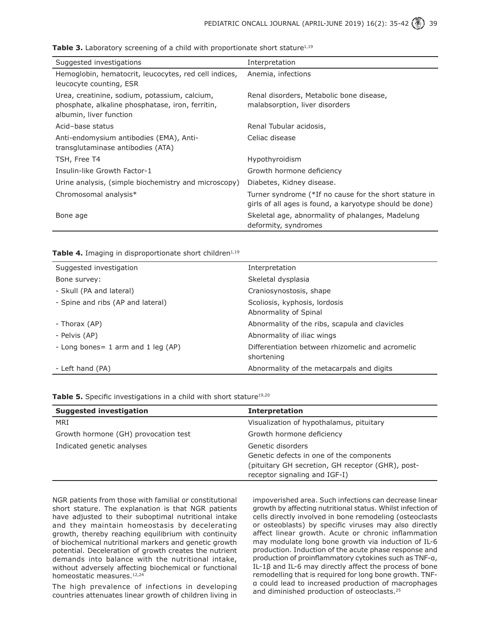| <b>Table 3.</b> Laboratory screening of a child with proportionate short stature <sup>1,19</sup> |  |  |  |  |  |
|--------------------------------------------------------------------------------------------------|--|--|--|--|--|
|--------------------------------------------------------------------------------------------------|--|--|--|--|--|

| Suggested investigations                                                                                                     | Interpretation                                                                                                    |
|------------------------------------------------------------------------------------------------------------------------------|-------------------------------------------------------------------------------------------------------------------|
| Hemoglobin, hematocrit, leucocytes, red cell indices,<br>leucocyte counting, ESR                                             | Anemia, infections                                                                                                |
| Urea, creatinine, sodium, potassium, calcium,<br>phosphate, alkaline phosphatase, iron, ferritin,<br>albumin, liver function | Renal disorders, Metabolic bone disease,<br>malabsorption, liver disorders                                        |
| Acid-base status                                                                                                             | Renal Tubular acidosis,                                                                                           |
| Anti-endomysium antibodies (EMA), Anti-<br>transglutaminase antibodies (ATA)                                                 | Celiac disease                                                                                                    |
| TSH, Free T4                                                                                                                 | Hypothyroidism                                                                                                    |
| Insulin-like Growth Factor-1                                                                                                 | Growth hormone deficiency                                                                                         |
| Urine analysis, (simple biochemistry and microscopy)                                                                         | Diabetes, Kidney disease.                                                                                         |
| Chromosomal analysis*                                                                                                        | Turner syndrome (*If no cause for the short stature in<br>girls of all ages is found, a karyotype should be done) |
| Bone age                                                                                                                     | Skeletal age, abnormality of phalanges, Madelung<br>deformity, syndromes                                          |

Table 4. Imaging in disproportionate short children<sup>1,19</sup>

| Suggested investigation               | Interpretation                                                 |
|---------------------------------------|----------------------------------------------------------------|
| Bone survey:                          | Skeletal dysplasia                                             |
| - Skull (PA and lateral)              | Craniosynostosis, shape                                        |
| - Spine and ribs (AP and lateral)     | Scoliosis, kyphosis, lordosis<br>Abnormality of Spinal         |
| - Thorax (AP)                         | Abnormality of the ribs, scapula and clavicles                 |
| - Pelvis (AP)                         | Abnormality of iliac wings                                     |
| - Long bones = 1 arm and 1 leg $AP$ ) | Differentiation between rhizomelic and acromelic<br>shortening |
| - Left hand (PA)                      | Abnormality of the metacarpals and digits                      |

Table 5. Specific investigations in a child with short stature<sup>19,20</sup>

| <b>Suggested investigation</b>       | <b>Interpretation</b>                             |
|--------------------------------------|---------------------------------------------------|
| MRI                                  | Visualization of hypothalamus, pituitary          |
| Growth hormone (GH) provocation test | Growth hormone deficiency                         |
| Indicated genetic analyses           | Genetic disorders                                 |
|                                      | Genetic defects in one of the components          |
|                                      | (pituitary GH secretion, GH receptor (GHR), post- |
|                                      | receptor signaling and IGF-I)                     |

NGR patients from those with familial or constitutional short stature. The explanation is that NGR patients have adjusted to their suboptimal nutritional intake and they maintain homeostasis by decelerating growth, thereby reaching equilibrium with continuity of biochemical nutritional markers and genetic growth potential. Deceleration of growth creates the nutrient demands into balance with the nutritional intake, without adversely affecting biochemical or functional homeostatic measures.<sup>12,24</sup>

The high prevalence of infections in developing countries attenuates linear growth of children living in impoverished area. Such infections can decrease linear growth by affecting nutritional status. Whilst infection of cells directly involved in bone remodeling (osteoclasts or osteoblasts) by specific viruses may also directly affect linear growth. Acute or chronic inflammation may modulate long bone growth via induction of IL-6 production. Induction of the acute phase response and production of proinflammatory cytokines such as TNF-α, IL-1β and IL-6 may directly affect the process of bone remodelling that is required for long bone growth. TNFα could lead to increased production of macrophages and diminished production of osteoclasts.25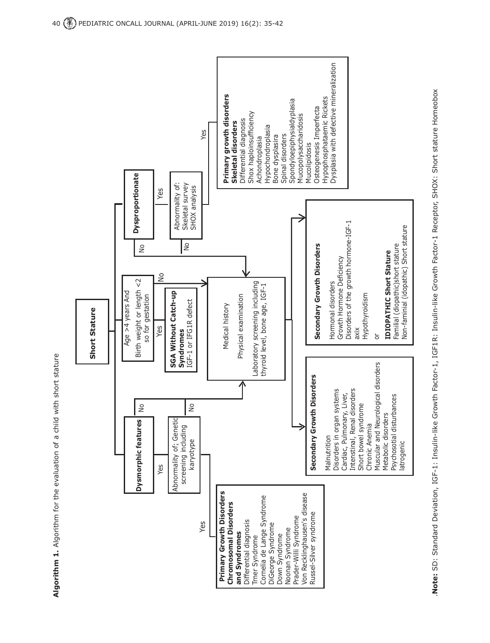

Note: SD: Standard Deviation, IGF-1: Insulin-like Growth Factor-1, IGF1R: Insulin-like Growth Factor-1 Receptor, SHOX: Short stature Homeobox .**Note:** SD: Standard Deviation, IGF-1: Insulin-like Growth Factor-1, IGF1R: Insulin-like Growth Factor-1 Receptor, SHOX: Short stature Homeobox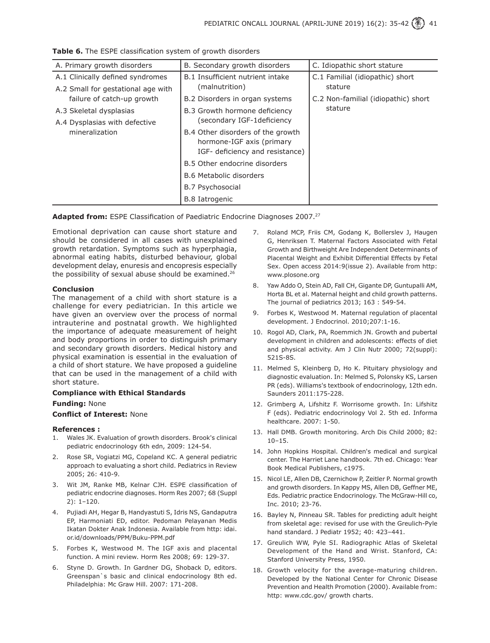| A. Primary growth disorders                                  | B. Secondary growth disorders     | C. Idiopathic short stature         |  |
|--------------------------------------------------------------|-----------------------------------|-------------------------------------|--|
| A.1 Clinically defined syndromes                             | B.1 Insufficient nutrient intake  | C.1 Familial (idiopathic) short     |  |
| A.2 Small for gestational age with                           | (malnutrition)                    | stature                             |  |
| failure of catch-up growth                                   | B.2 Disorders in organ systems    | C.2 Non-familial (idiopathic) short |  |
| A.3 Skeletal dysplasias                                      | B.3 Growth hormone deficiency     | stature                             |  |
| A.4 Dysplasias with defective                                | (secondary IGF-1deficiency        |                                     |  |
| mineralization                                               | B.4 Other disorders of the growth |                                     |  |
| hormone-IGF axis (primary<br>IGF- deficiency and resistance) |                                   |                                     |  |
|                                                              | B.5 Other endocrine disorders     |                                     |  |
|                                                              | <b>B.6 Metabolic disorders</b>    |                                     |  |
|                                                              | B.7 Psychosocial                  |                                     |  |
|                                                              | <b>B.8 Iatrogenic</b>             |                                     |  |

**Table 6.** The ESPE classification system of growth disorders

**Adapted from:** ESPE Classification of Paediatric Endocrine Diagnoses 2007.<sup>27</sup>

Emotional deprivation can cause short stature and should be considered in all cases with unexplained growth retardation. Symptoms such as hyperphagia, abnormal eating habits, disturbed behaviour, global development delay, enuresis and encopresis especially the possibility of sexual abuse should be examined.26

#### **Conclusion**

The management of a child with short stature is a challenge for every pediatrician. In this article we have given an overview over the process of normal intrauterine and postnatal growth. We highlighted the importance of adequate measurement of height and body proportions in order to distinguish primary and secondary growth disorders. Medical history and physical examination is essential in the evaluation of a child of short stature. We have proposed a guideline that can be used in the management of a child with short stature.

## **Compliance with Ethical Standards**

#### **Funding:** None

## **Conflict of Interest:** None

#### **References :**

- 1. Wales JK. Evaluation of growth disorders. Brook's clinical pediatric endocrinology 6th edn, 2009: 124-54.
- 2. Rose SR, Vogiatzi MG, Copeland KC. A general pediatric approach to evaluating a short child. Pediatrics in Review 2005; 26: 410-9.
- 3. Wit JM, Ranke MB, Kelnar CJH. ESPE classification of pediatric endocrine diagnoses. Horm Res 2007; 68 (Suppl 2): 1–120.
- 4. Pujiadi AH, Hegar B, Handyastuti S, Idris NS, Gandaputra EP, Harmoniati ED, editor. Pedoman Pelayanan Medis Ikatan Dokter Anak Indonesia. Available from http: idai. or.id/downloads/PPM/Buku-PPM.pdf
- 5. Forbes K, Westwood M. The IGF axis and placental function. A mini review. Horm Res 2008; 69: 129-37.
- 6. Styne D. Growth. In Gardner DG, Shoback D, editors. Greenspan`s basic and clinical endocrinology 8th ed. Philadelphia: Mc Graw Hill. 2007: 171-208.
- 7. Roland MCP, Friis CM, Godang K, Bollerslev J, Haugen G, Henriksen T. Maternal Factors Associated with Fetal Growth and Birthweight Are Independent Determinants of Placental Weight and Exhibit Differential Effects by Fetal Sex. Open access 2014:9(issue 2). Available from http: www.plosone.org
- 8. Yaw Addo O, Stein AD, Fall CH, Gigante DP, Guntupalli AM, Horta BL et al. Maternal height and child growth patterns. The journal of pediatrics 2013; 163 : 549-54.
- 9. Forbes K, Westwood M. Maternal regulation of placental development. J Endocrinol. 2010;207:1-16.
- 10. Rogol AD, Clark, PA, Roemmich JN. Growth and pubertal development in children and adolescents: effects of diet and physical activity. Am J Clin Nutr 2000; 72(suppl): 521S-8S.
- 11. Melmed S, Kleinberg D, Ho K. Pituitary physiology and diagnostic evaluation. In: Melmed S, Polonsky KS, Larsen PR (eds). Williams's textbook of endocrinology, 12th edn. Saunders 2011:175-228.
- 12. Grimberg A, Lifshitz F. Worrisome growth. In: Lifshitz F (eds). Pediatric endocrinology Vol 2. 5th ed. Informa healthcare. 2007: 1-50.
- 13. Hall DMB. Growth monitoring. Arch Dis Child 2000; 82:  $10 - 15$
- 14. John Hopkins Hospital. Children's medical and surgical center. The Harriet Lane handbook. 7th ed. Chicago: Year Book Medical Publishers, c1975.
- 15. Nicol LE, Allen DB, Czernichow P, Zeitler P. Normal growth and growth disorders. In Kappy MS, Allen DB, Geffner ME, Eds. Pediatric practice Endocrinology. The McGraw-Hill co, Inc. 2010; 23-76.
- 16. Bayley N, Pinneau SR. Tables for predicting adult height from skeletal age: revised for use with the Greulich-Pyle hand standard. J Pediatr 1952; 40: 423–441.
- 17. Greulich WW, Pyle SI. Radiographic Atlas of Skeletal Development of the Hand and Wrist. Stanford, CA: Stanford University Press, 1950.
- 18. Growth velocity for the average-maturing children. Developed by the National Center for Chronic Disease Prevention and Health Promotion (2000). Available from: http: www.cdc.gov/ growth charts.